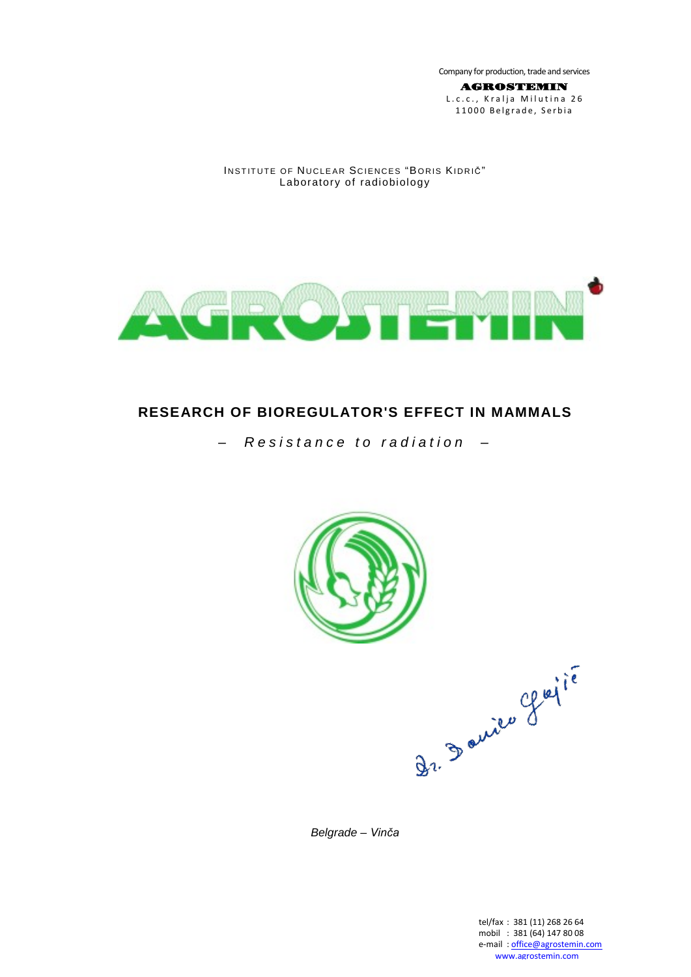Company for production, trade and services

AGROSTEMIN L.c.c., Kralja Milutina 26 11000 Belgrade, Serbia

### INSTITUTE OF NUCLEAR SCIENCES "BORIS KIDRIČ" Laboratory of radiobiology



# **RESEARCH OF BIOREGULATOR'S EFFECT IN MAMMALS**

*– Resistance to radiation –*



*Belgrade – Vinča*

tel/fax : 381 (11) 268 26 64 mobil : 381 (64) 147 80 08 e-mail[: office@agrostemin.com](mailto:office@agrostemin.com) [www.agrostemin.com](http://www.agrostemin.com/)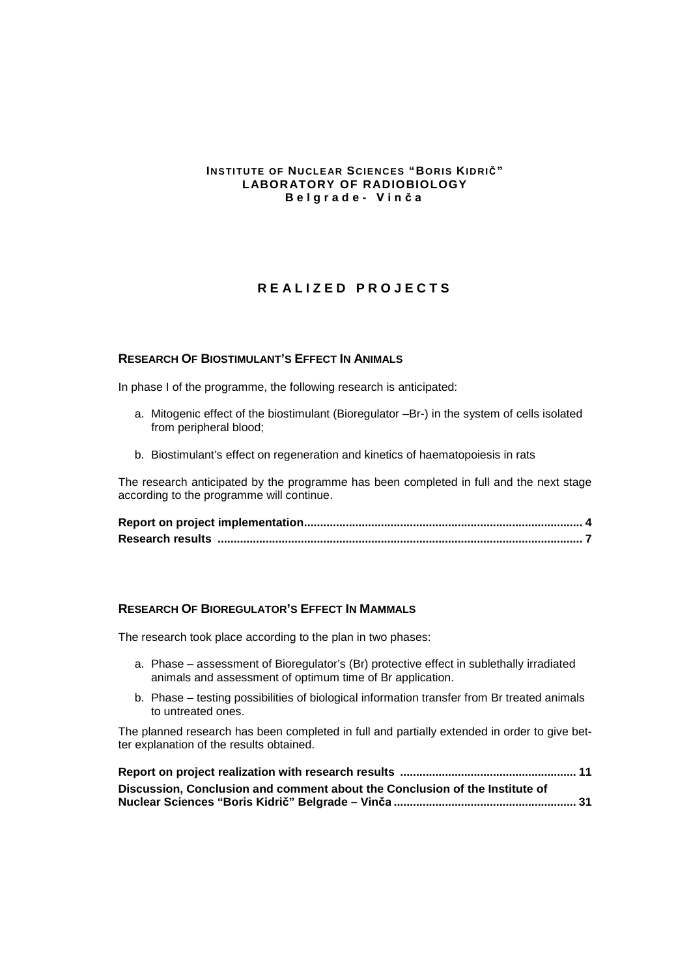### **INSTITUTE OF NUCLEAR SCIENCES "BORIS KIDRIČ" LABORATORY OF RADIOBIOLOGY Belgrade - Vinča**

# **REALIZED PROJECTS**

### **[RESEARCH OF BIOSTIMULANT'S EFFECT IN ANIMALS](#page-2-0)**

In phase I of the programme, the following research is anticipated:

- a. Mitogenic effect of the biostimulant (Bioregulator –Br-) in the system of cells isolated from peripheral blood;
- b. Biostimulant's effect on regeneration and kinetics of haematopoiesis in rats

The research anticipated by the programme has been completed in full and the next stage according to the programme will continue.

### **[RESEARCH OF BIOREGULATOR'S EFFECT IN MAMMALS](#page-8-0)**

The research took place according to the plan in two phases:

- a. Phase assessment of Bioregulator's (Br) protective effect in sublethally irradiated animals and assessment of optimum time of Br application.
- b. Phase testing possibilities of biological information transfer from Br treated animals to untreated ones.

The planned research has been completed in full and partially extended in order to give better explanation of the results obtained.

| Discussion, Conclusion and comment about the Conclusion of the Institute of |  |
|-----------------------------------------------------------------------------|--|
|                                                                             |  |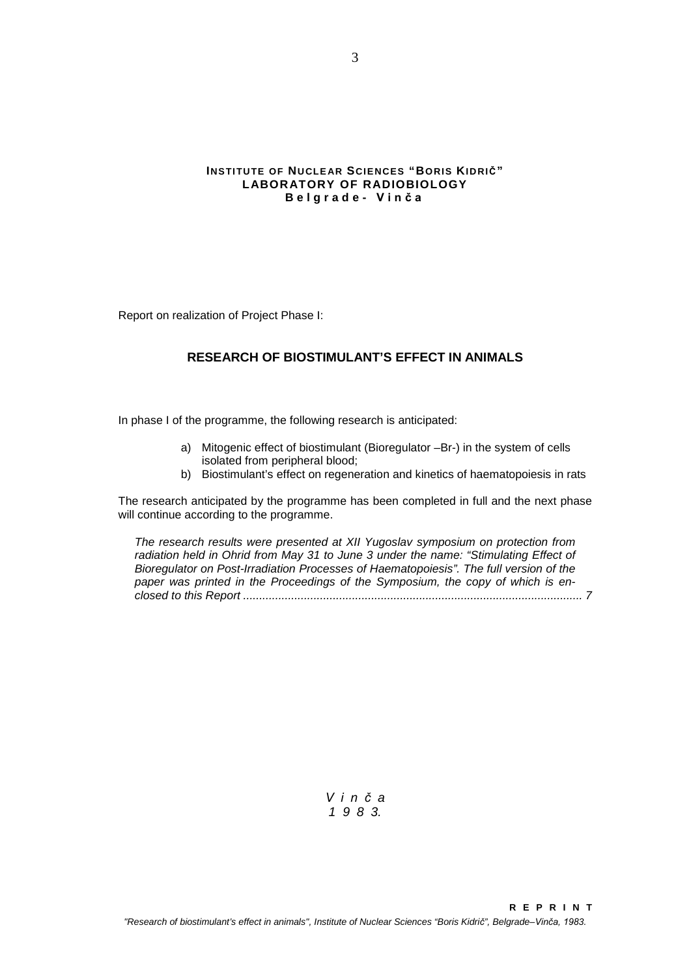### **INSTITUTE OF NUCLEAR SCIENCES "BORIS KIDRIČ" LABORATORY OF RADIOBIOLOGY Belgrade - Vinča**

<span id="page-2-0"></span>Report on realization of Project Phase I:

# **RESEARCH OF BIOSTIMULANT'S EFFECT IN ANIMALS**

In phase I of the programme, the following research is anticipated:

- a) Mitogenic effect of biostimulant (Bioregulator –Br-) in the system of cells isolated from peripheral blood;
- b) Biostimulant's effect on regeneration and kinetics of haematopoiesis in rats

The research anticipated by the programme has been completed in full and the next phase will continue according to the programme.

*The research results were presented at XII Yugoslav symposium on protection from radiation held in Ohrid from May 31 to June 3 under the name: "Stimulating Effect of Bioregulator on Post-Irradiation Processes of Haematopoiesis". The full version of the paper was printed in the Proceedings of the Symposium, the copy of which is enclosed to this Report .......................................................................................................... [7](#page-6-0)*

> *Vinč a 198 3.*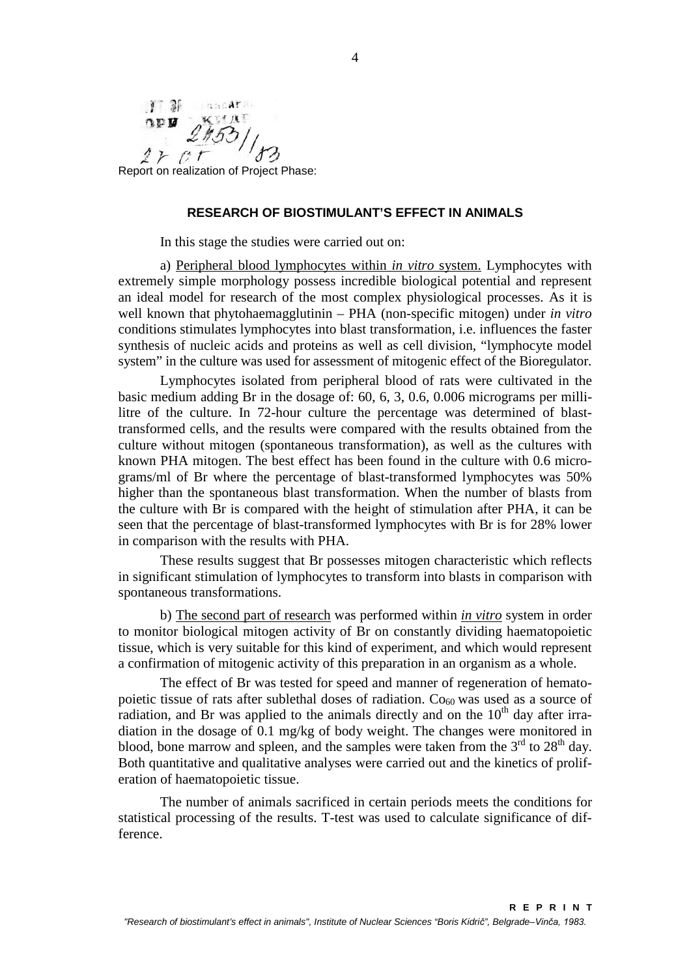<span id="page-3-0"></span>I 3 sandara KVILLE  $\Omega$  $2 \times c t$ 

Report on realization of Project Phase:

# **RESEARCH OF BIOSTIMULANT'S EFFECT IN ANIMALS**

In this stage the studies were carried out on:

a) Peripheral blood lymphocytes within *in vitro* system. Lymphocytes with extremely simple morphology possess incredible biological potential and represent an ideal model for research of the most complex physiological processes. As it is well known that phytohaemagglutinin – PHA (non-specific mitogen) under *in vitro* conditions stimulates lymphocytes into blast transformation, i.e. influences the faster synthesis of nucleic acids and proteins as well as cell division, "lymphocyte model system" in the culture was used for assessment of mitogenic effect of the Bioregulator.

Lymphocytes isolated from peripheral blood of rats were cultivated in the basic medium adding Br in the dosage of: 60, 6, 3, 0.6, 0.006 micrograms per millilitre of the culture. In 72-hour culture the percentage was determined of blasttransformed cells, and the results were compared with the results obtained from the culture without mitogen (spontaneous transformation), as well as the cultures with known PHA mitogen. The best effect has been found in the culture with 0.6 micrograms/ml of Br where the percentage of blast-transformed lymphocytes was 50% higher than the spontaneous blast transformation. When the number of blasts from the culture with Br is compared with the height of stimulation after PHA, it can be seen that the percentage of blast-transformed lymphocytes with Br is for 28% lower in comparison with the results with PHA.

These results suggest that Br possesses mitogen characteristic which reflects in significant stimulation of lymphocytes to transform into blasts in comparison with spontaneous transformations.

b) The second part of research was performed within *in vitro* system in order to monitor biological mitogen activity of Br on constantly dividing haematopoietic tissue, which is very suitable for this kind of experiment, and which would represent a confirmation of mitogenic activity of this preparation in an organism as a whole.

The effect of Br was tested for speed and manner of regeneration of hematopoietic tissue of rats after sublethal doses of radiation.  $Co<sub>60</sub>$  was used as a source of radiation, and Br was applied to the animals directly and on the  $10<sup>th</sup>$  day after irradiation in the dosage of 0.1 mg/kg of body weight. The changes were monitored in blood, bone marrow and spleen, and the samples were taken from the  $3<sup>rd</sup>$  to  $28<sup>th</sup>$  day. Both quantitative and qualitative analyses were carried out and the kinetics of proliferation of haematopoietic tissue.

The number of animals sacrificed in certain periods meets the conditions for statistical processing of the results. T-test was used to calculate significance of difference.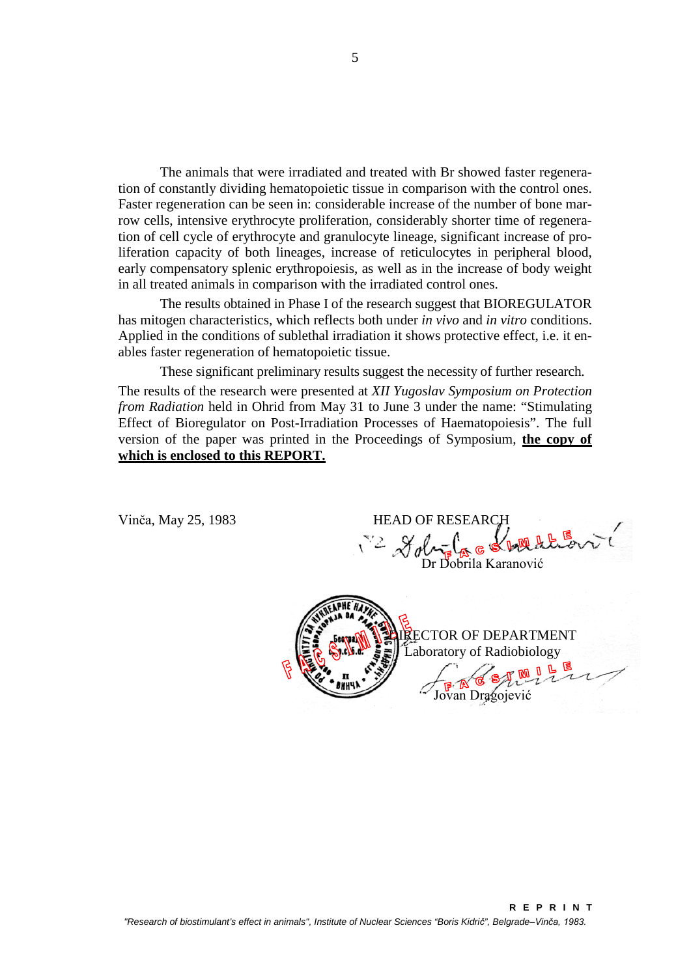The animals that were irradiated and treated with Br showed faster regeneration of constantly dividing hematopoietic tissue in comparison with the control ones. Faster regeneration can be seen in: considerable increase of the number of bone marrow cells, intensive erythrocyte proliferation, considerably shorter time of regeneration of cell cycle of erythrocyte and granulocyte lineage, significant increase of proliferation capacity of both lineages, increase of reticulocytes in peripheral blood, early compensatory splenic erythropoiesis, as well as in the increase of body weight in all treated animals in comparison with the irradiated control ones.

The results obtained in Phase I of the research suggest that BIOREGULATOR has mitogen characteristics, which reflects both under *in vivo* and *in vitro* conditions. Applied in the conditions of sublethal irradiation it shows protective effect, i.e. it enables faster regeneration of hematopoietic tissue.

These significant preliminary results suggest the necessity of further research.

The results of the research were presented at *XII Yugoslav Symposium on Protection from Radiation* held in Ohrid from May 31 to June 3 under the name: "Stimulating Effect of Bioregulator on Post-Irradiation Processes of Haematopoiesis". The full version of the paper was printed in the Proceedings of Symposium, **the copy of which is enclosed to this REPORT.**

Vinča, May 25, 1983

| <b>HEAD OF RESEARCH</b><br>G & break to<br>$\sqrt{2}$ $\mathcal{X}_{\alpha}$<br>Dr Dobrila Karanović |
|------------------------------------------------------------------------------------------------------|
| TOR OF DEPARTMENT<br>Laboratory of Radiobiology<br>ragojević                                         |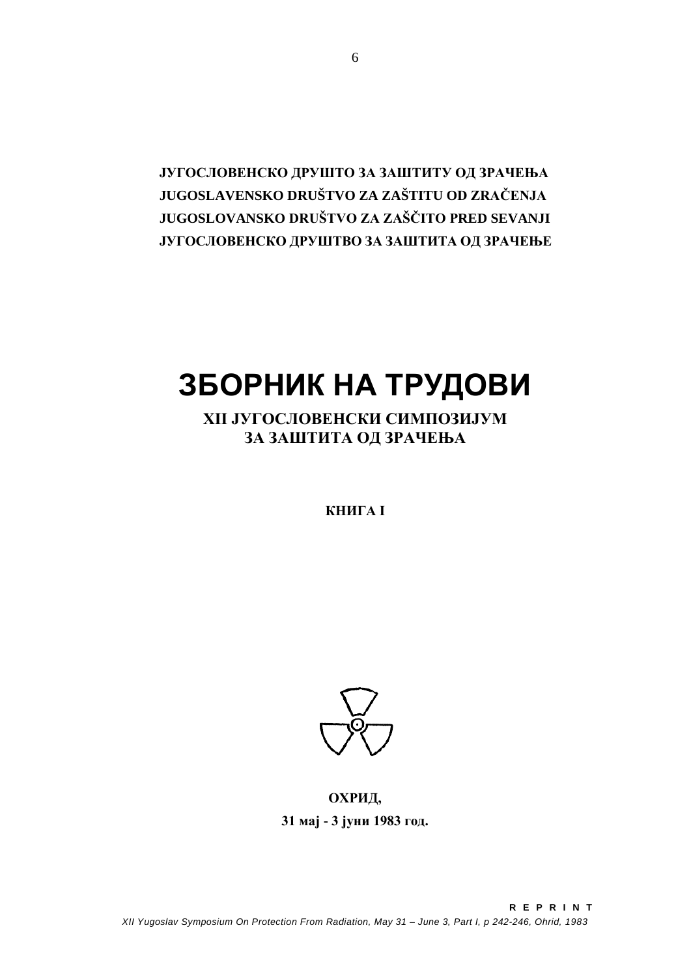**ЈУГОСЛОВЕНСКО ДРУШТО ЗА ЗАШТИТУ ОД ЗРАЧЕЊА JUGOSLAVENSKO DRUŠTVO ZA ZAŠTITU OD ZRAČENJA JUGOSLOVANSKO DRUŠTVO ZA ZAŠČITO PRED SEVANJI ЈУГОСЛОВЕНСКО ДРУШТВО ЗА ЗАШТИТА ОД ЗРАЧЕЊЕ**

# **ЗБОРНИК НА ТРУДОВИ**

**XII ЈУГОСЛОВЕНСКИ СИМПОЗИЈУМ ЗА ЗАШТИТА ОД ЗРАЧЕЊА**

**КНИГА I**



**OХРИД, 31 мај - 3 јуни 1983 год.**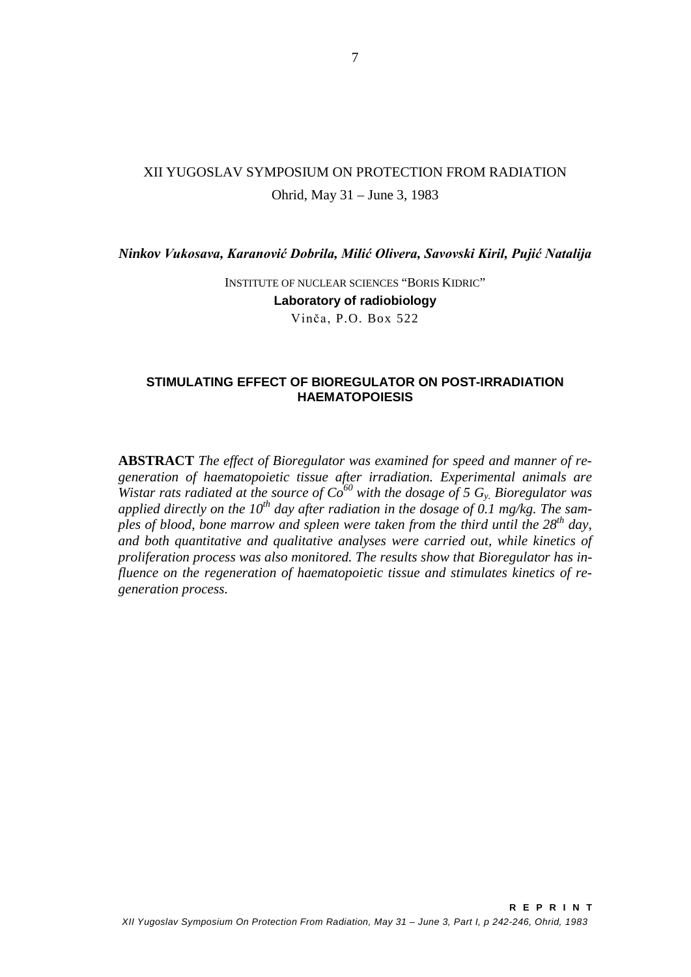# XII YUGOSLAV SYMPOSIUM ON PROTECTION FROM RADIATION Ohrid, May 31 – June 3, 1983

*Ninkov Vukosava, Karanović Dobrila, Milić Olivera, Savovski Kiril, Pujić Natalija*

INSTITUTE OF NUCLEAR SCIENCES "BORIS KIDRIC" **Laboratory of radiobiology** Vinča, P.O. Box 522

### <span id="page-6-0"></span>**STIMULATING EFFECT OF BIOREGULATOR ON POST-IRRADIATION HAEMATOPOIESIS**

**ABSTRACT** *The effect of Bioregulator was examined for speed and manner of regeneration of haematopoietic tissue after irradiation. Experimental animals are Wistar rats radiated at the source of*  $Co^{60}$  *with the dosage of* 5  $G_y$ . *Bioregulator was* applied directly on the 10<sup>th</sup> day after radiation in the dosage of 0.1 mg/kg. The sam*ples of blood, bone marrow and spleen were taken from the third until the 28th day, and both quantitative and qualitative analyses were carried out, while kinetics of proliferation process was also monitored. The results show that Bioregulator has influence on the regeneration of haematopoietic tissue and stimulates kinetics of regeneration process.*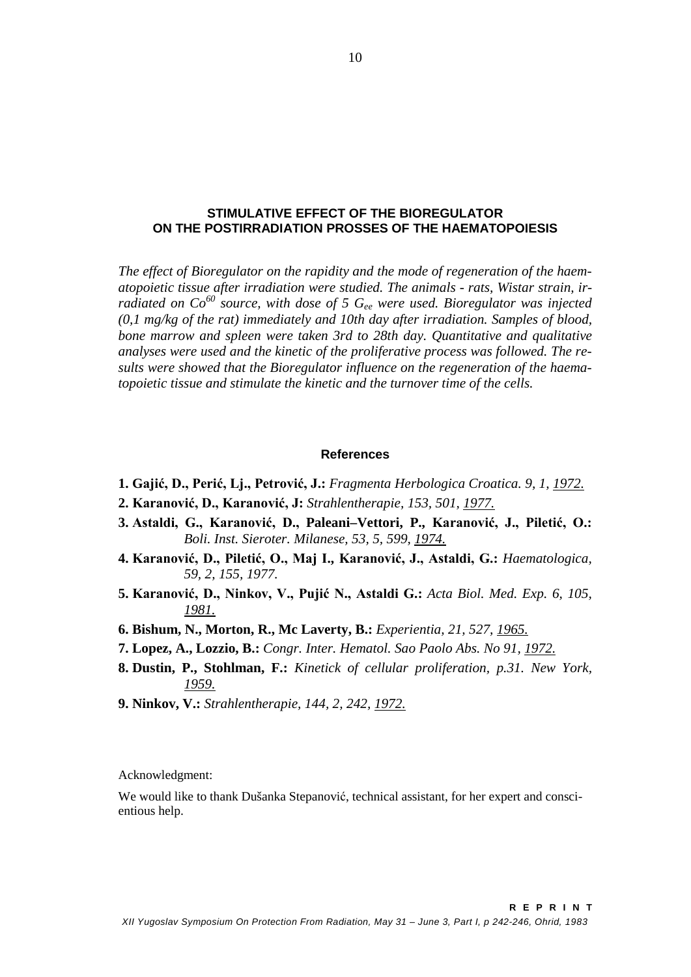### **STIMULATIVE EFFECT OF THE BIOREGULATOR ON THE POSTIRRADIATION PROSSES OF THE HAEMATOPOIESIS**

*The effect of Bioregulator on the rapidity and the mode of regeneration of the haematopoietic tissue after irradiation were studied. The animals - rats, Wistar strain, irradiated on Co*<sup>60</sup> *source, with dose of 5 G<sub>ee</sub> were used. Bioregulator was injected (0,1 mg/kg of the rat) immediately and 10th day after irradiation. Samples of blood, bone marrow and spleen were taken 3rd to 28th day. Quantitative and qualitative analyses were used and the kinetic of the proliferative process was followed. The results were showed that the Bioregulator influence on the regeneration of the haematopoietic tissue and stimulate the kinetic and the turnover time of the cells.*

### **References**

- **1. Gajić, D., Perić, Lj., Petrović, J.:** *Fragmenta Herbologica Croatica. 9, 1, 1972.*
- **2. Karanović, D., Karanović, J:** *Strahlentherapie, 153, 501, 1977.*
- **3. Astaldi, G., Karanović, D., Paleani–Vettori, P., Karanović, J., Piletić, O.:** *Boli. Inst. Sieroter. Milanese, 53, 5, 599, 1974.*
- **4. Karanović, D., Piletić, O., Maj I., Karanović, J., Astaldi, G.:** *Haematologica, 59, 2, 155, 1977.*
- **5. Karanović, D., Ninkov, V., Pujić N., Astaldi G.:** *Acta Biol. Med. Exp. 6, 105, 1981.*
- **6. Bishum, N., Morton, R., Mc Laverty, B.:** *Experientia, 21, 527, 1965.*
- **7. Lopez, A., Lozzio, B.:** *Congr. Inter. Hematol. Sao Paolo Abs. No 91, 1972.*
- **8. Dustin, P., Stohlman, F.:** *Kinetick of cellular proliferation, p.31. New York, 1959.*
- **9. Ninkov, V.:** *Strahlentherapie, 144, 2, 242, 1972.*

Acknowledgment:

We would like to thank Dušanka Stepanović, technical assistant, for her expert and conscientious help.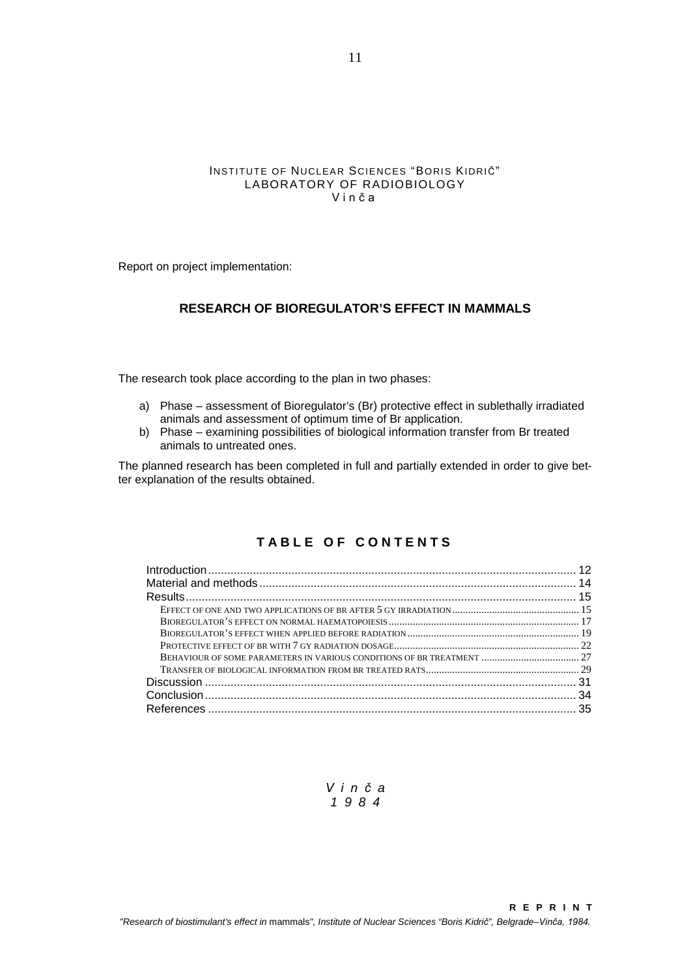#### INSTITUTE OF NUCLEAR SCIENCES "BORIS KIDRIČ" LABORATORY OF RADIOBIOLOGY Vinča

<span id="page-8-0"></span>Report on project implementation:

# **RESEARCH OF BIOREGULATOR'S EFFECT IN MAMMALS**

The research took place according to the plan in two phases:

- a) Phase assessment of Bioregulator's (Br) protective effect in sublethally irradiated animals and assessment of optimum time of Br application.
- b) Phase examining possibilities of biological information transfer from Br treated animals to untreated ones.

The planned research has been completed in full and partially extended in order to give better explanation of the results obtained.

# **TABLE OF CONTENT S**

| BEHAVIOUR OF SOME PARAMETERS IN VARIOUS CONDITIONS OF BR TREATMENT  27 |  |
|------------------------------------------------------------------------|--|
|                                                                        |  |
|                                                                        |  |
|                                                                        |  |
|                                                                        |  |
|                                                                        |  |

*Vinč a 198 4*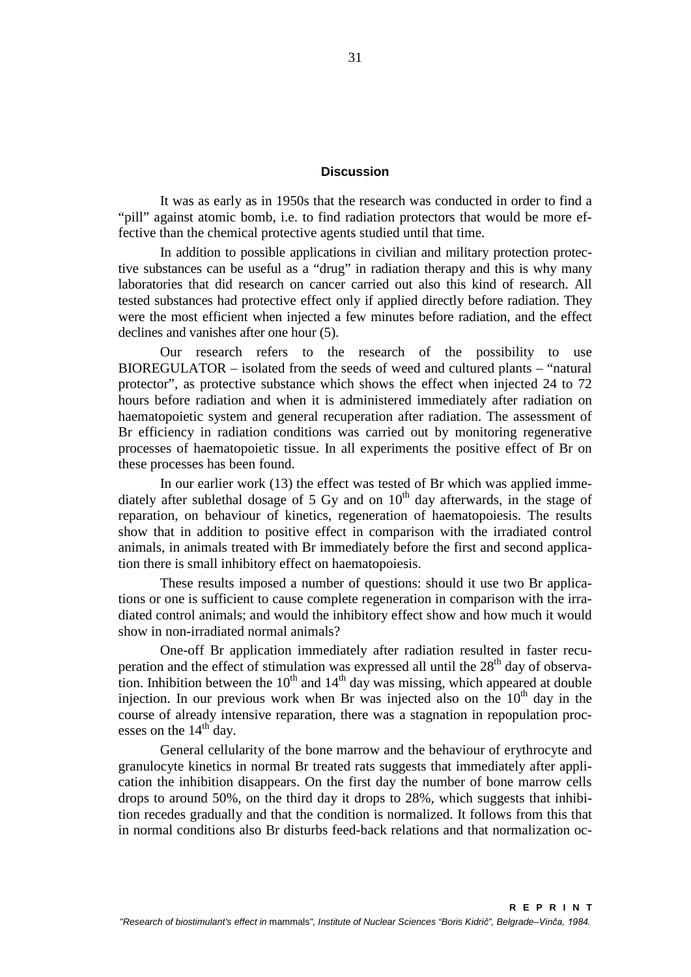### **Discussion**

<span id="page-9-0"></span>It was as early as in 1950s that the research was conducted in order to find a "pill" against atomic bomb, i.e. to find radiation protectors that would be more effective than the chemical protective agents studied until that time.

In addition to possible applications in civilian and military protection protective substances can be useful as a "drug" in radiation therapy and this is why many laboratories that did research on cancer carried out also this kind of research. All tested substances had protective effect only if applied directly before radiation. They were the most efficient when injected a few minutes before radiation, and the effect declines and vanishes after one hour [\(5\)](#page-13-1).

Our research refers to the research of the possibility to use BIOREGULATOR – isolated from the seeds of weed and cultured plants – "natural protector", as protective substance which shows the effect when injected 24 to 72 hours before radiation and when it is administered immediately after radiation on haematopoietic system and general recuperation after radiation. The assessment of Br efficiency in radiation conditions was carried out by monitoring regenerative processes of haematopoietic tissue. In all experiments the positive effect of Br on these processes has been found.

In our earlier work [\(13\)](#page-13-2) the effect was tested of Br which was applied immediately after sublethal dosage of 5 Gy and on  $10<sup>th</sup>$  day afterwards, in the stage of reparation, on behaviour of kinetics, regeneration of haematopoiesis. The results show that in addition to positive effect in comparison with the irradiated control animals, in animals treated with Br immediately before the first and second application there is small inhibitory effect on haematopoiesis.

These results imposed a number of questions: should it use two Br applications or one is sufficient to cause complete regeneration in comparison with the irradiated control animals; and would the inhibitory effect show and how much it would show in non-irradiated normal animals?

One-off Br application immediately after radiation resulted in faster recuperation and the effect of stimulation was expressed all until the  $28<sup>th</sup>$  day of observation. Inhibition between the  $10<sup>th</sup>$  and  $14<sup>th</sup>$  day was missing, which appeared at double injection. In our previous work when Br was injected also on the  $10<sup>th</sup>$  day in the course of already intensive reparation, there was a stagnation in repopulation processes on the  $14<sup>th</sup>$  day.

General cellularity of the bone marrow and the behaviour of erythrocyte and granulocyte kinetics in normal Br treated rats suggests that immediately after application the inhibition disappears. On the first day the number of bone marrow cells drops to around 50%, on the third day it drops to 28%, which suggests that inhibition recedes gradually and that the condition is normalized. It follows from this that in normal conditions also Br disturbs feed-back relations and that normalization oc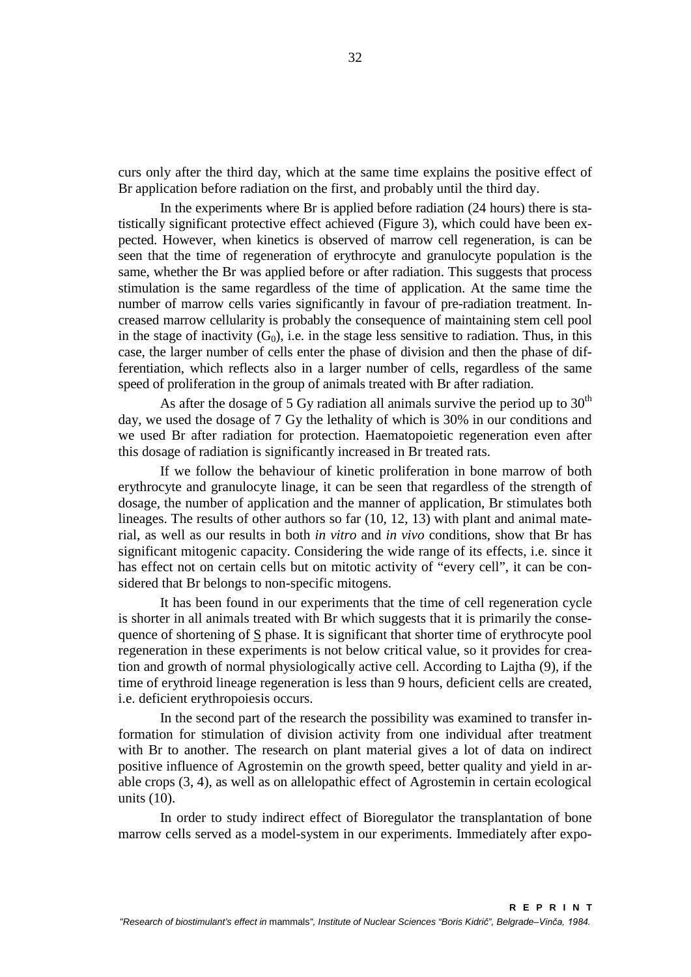curs only after the third day, which at the same time explains the positive effect of Br application before radiation on the first, and probably until the third day.

In the experiments where Br is applied before radiation (24 hours) there is statistically significant protective effect achieved (Figure 3), which could have been expected. However, when kinetics is observed of marrow cell regeneration, is can be seen that the time of regeneration of erythrocyte and granulocyte population is the same, whether the Br was applied before or after radiation. This suggests that process stimulation is the same regardless of the time of application. At the same time the number of marrow cells varies significantly in favour of pre-radiation treatment. Increased marrow cellularity is probably the consequence of maintaining stem cell pool in the stage of inactivity  $(G_0)$ , i.e. in the stage less sensitive to radiation. Thus, in this case, the larger number of cells enter the phase of division and then the phase of differentiation, which reflects also in a larger number of cells, regardless of the same speed of proliferation in the group of animals treated with Br after radiation.

As after the dosage of 5 Gy radiation all animals survive the period up to  $30<sup>th</sup>$ day, we used the dosage of 7 Gy the lethality of which is 30% in our conditions and we used Br after radiation for protection. Haematopoietic regeneration even after this dosage of radiation is significantly increased in Br treated rats.

If we follow the behaviour of kinetic proliferation in bone marrow of both erythrocyte and granulocyte linage, it can be seen that regardless of the strength of dosage, the number of application and the manner of application, Br stimulates both lineages. The results of other authors so far [\(10,](#page-13-3) [12,](#page-13-4) [13\)](#page-13-2) with plant and animal material, as well as our results in both *in vitro* and *in vivo* conditions, show that Br has significant mitogenic capacity. Considering the wide range of its effects, i.e. since it has effect not on certain cells but on mitotic activity of "every cell", it can be considered that Br belongs to non-specific mitogens.

It has been found in our experiments that the time of cell regeneration cycle is shorter in all animals treated with Br which suggests that it is primarily the consequence of shortening of S phase. It is significant that shorter time of erythrocyte pool regeneration in these experiments is not below critical value, so it provides for creation and growth of normal physiologically active cell. According to Lajtha [\(9\)](#page-13-5), if the time of erythroid lineage regeneration is less than 9 hours, deficient cells are created, i.e. deficient erythropoiesis occurs.

In the second part of the research the possibility was examined to transfer information for stimulation of division activity from one individual after treatment with Br to another. The research on plant material gives a lot of data on indirect positive influence of Agrostemin on the growth speed, better quality and yield in arable crops [\(3,](#page-13-6) [4\)](#page-13-7), as well as on allelopathic effect of Agrostemin in certain ecological units [\(10\)](#page-13-3).

In order to study indirect effect of Bioregulator the transplantation of bone marrow cells served as a model-system in our experiments. Immediately after expo-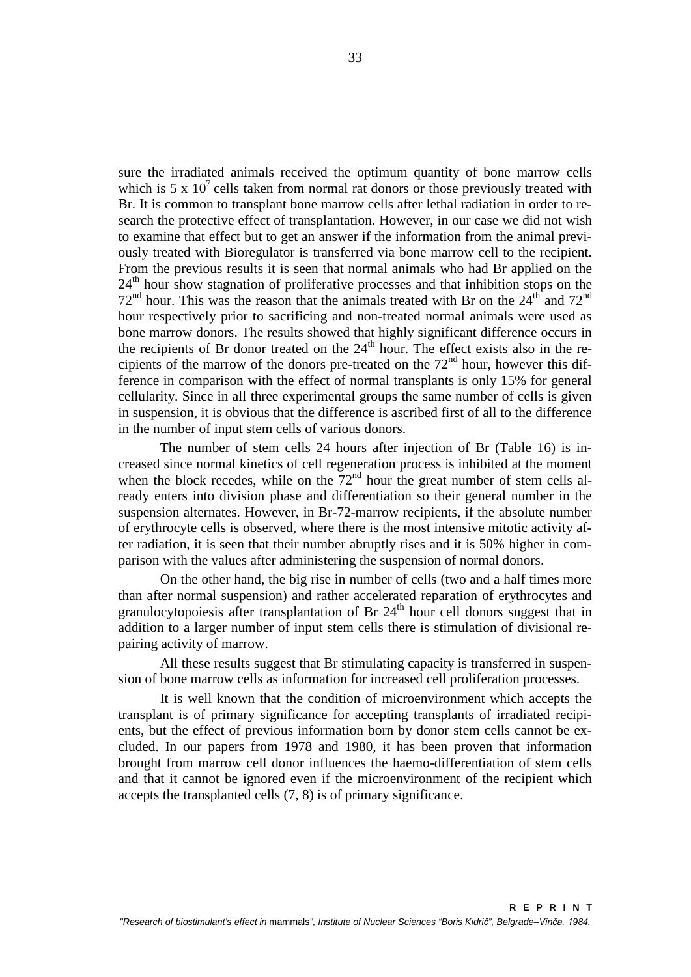sure the irradiated animals received the optimum quantity of bone marrow cells which is 5 x  $10^7$  cells taken from normal rat donors or those previously treated with Br. It is common to transplant bone marrow cells after lethal radiation in order to research the protective effect of transplantation. However, in our case we did not wish to examine that effect but to get an answer if the information from the animal previously treated with Bioregulator is transferred via bone marrow cell to the recipient. From the previous results it is seen that normal animals who had Br applied on the 24<sup>th</sup> hour show stagnation of proliferative processes and that inhibition stops on the  $72<sup>nd</sup>$  hour. This was the reason that the animals treated with Br on the  $24<sup>th</sup>$  and  $72<sup>nd</sup>$ hour respectively prior to sacrificing and non-treated normal animals were used as bone marrow donors. The results showed that highly significant difference occurs in the recipients of Br donor treated on the  $24<sup>th</sup>$  hour. The effect exists also in the recipients of the marrow of the donors pre-treated on the  $72<sup>nd</sup>$  hour, however this difference in comparison with the effect of normal transplants is only 15% for general cellularity. Since in all three experimental groups the same number of cells is given in suspension, it is obvious that the difference is ascribed first of all to the difference in the number of input stem cells of various donors.

The number of stem cells 24 hours after injection of Br (Table 16) is increased since normal kinetics of cell regeneration process is inhibited at the moment when the block recedes, while on the  $72<sup>nd</sup>$  hour the great number of stem cells already enters into division phase and differentiation so their general number in the suspension alternates. However, in Br-72-marrow recipients, if the absolute number of erythrocyte cells is observed, where there is the most intensive mitotic activity after radiation, it is seen that their number abruptly rises and it is 50% higher in comparison with the values after administering the suspension of normal donors.

On the other hand, the big rise in number of cells (two and a half times more than after normal suspension) and rather accelerated reparation of erythrocytes and granulocytopoiesis after transplantation of Br 24<sup>th</sup> hour cell donors suggest that in addition to a larger number of input stem cells there is stimulation of divisional repairing activity of marrow.

All these results suggest that Br stimulating capacity is transferred in suspension of bone marrow cells as information for increased cell proliferation processes.

It is well known that the condition of microenvironment which accepts the transplant is of primary significance for accepting transplants of irradiated recipients, but the effect of previous information born by donor stem cells cannot be excluded. In our papers from 1978 and 1980, it has been proven that information brought from marrow cell donor influences the haemo-differentiation of stem cells and that it cannot be ignored even if the microenvironment of the recipient which accepts the transplanted cells [\(7,](#page-13-8) [8\)](#page-13-9) is of primary significance.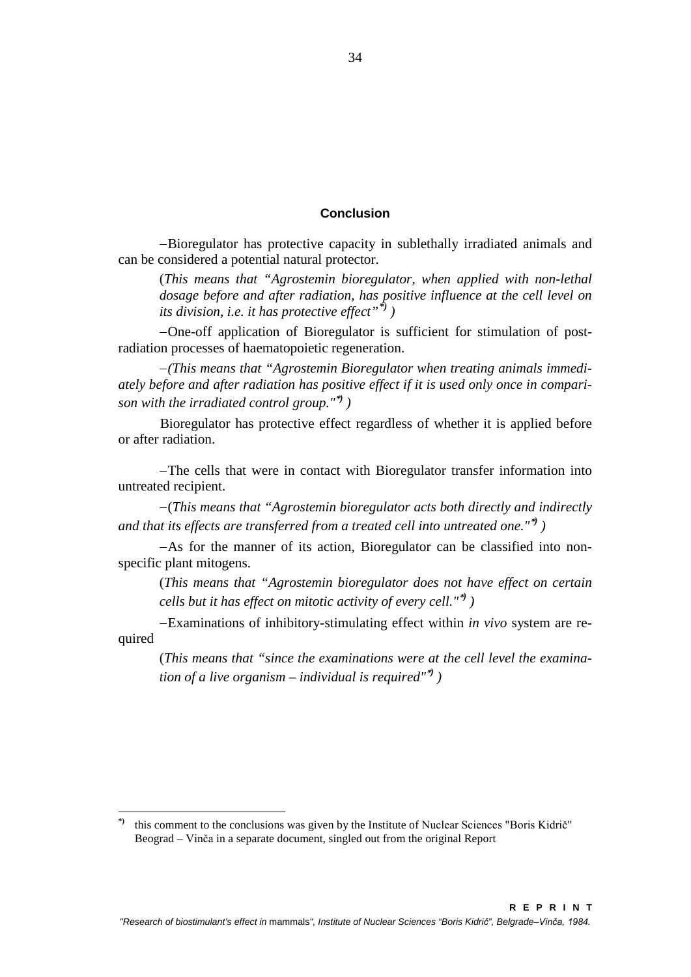# **Conclusion**

<span id="page-12-0"></span>−Bioregulator has protective capacity in sublethally irradiated animals and can be considered a potential natural protector.

(*This means that "Agrostemin bioregulator, when applied with non-lethal dosage before and after radiation, has positive influence at the cell level on its division, i.e. it has protective effect"[\\*\)](#page-12-1) )*

−One-off application of Bioregulator is sufficient for stimulation of postradiation processes of haematopoietic regeneration.

−*(This means that "Agrostemin Bioregulator when treating animals immediately before and after radiation has positive effect if it is used only once in comparison with the irradiated control group."*\**) )*

Bioregulator has protective effect regardless of whether it is applied before or after radiation.

−The cells that were in contact with Bioregulator transfer information into untreated recipient.

−(*This means that "Agrostemin bioregulator acts both directly and indirectly and that its effects are transferred from a treated cell into untreated one."*\**) )*

−As for the manner of its action, Bioregulator can be classified into nonspecific plant mitogens.

(*This means that "Agrostemin bioregulator does not have effect on certain cells but it has effect on mitotic activity of every cell."*\**) )*

−Examinations of inhibitory-stimulating effect within *in vivo* system are required

(*This means that "since the examinations were at the cell level the examination of a live organism – individual is required"*\**) )*

<span id="page-12-1"></span>this comment to the conclusions was given by the Institute of Nuclear Sciences "Boris Kidrič" Beograd – Vinča in a separate document, singled out from the original Report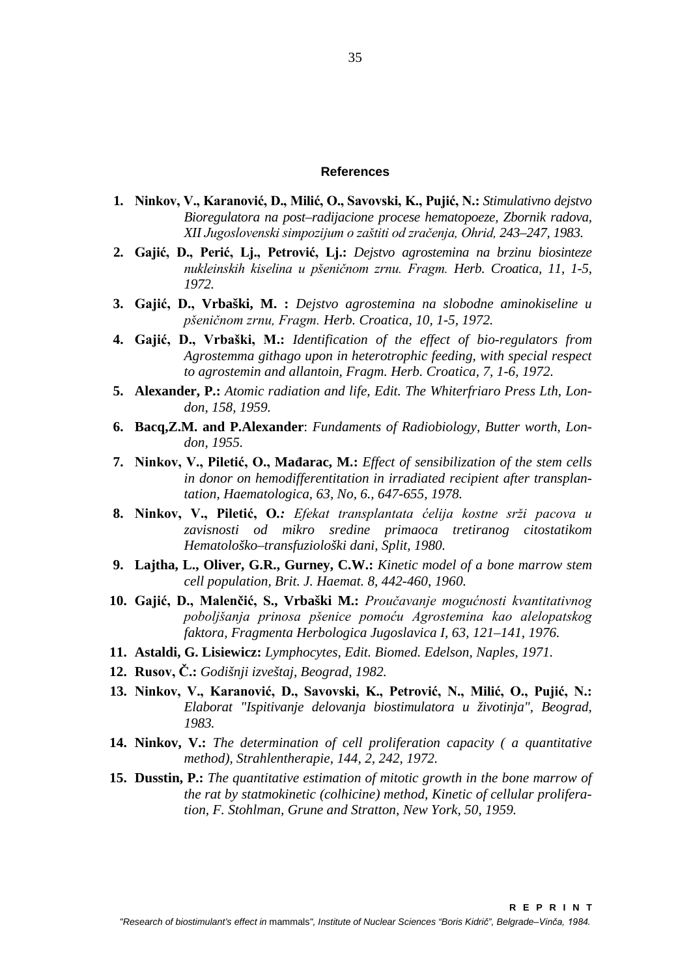#### **References**

- <span id="page-13-0"></span>**1. Ninkov, V., Karanović, D., Milić, O., Savovski, K., Pujić, N.:** *Stimulativno dejstvo Bioregulatora na post–radijacione procese hematopoeze, Zbornik radova, XII Jugoslovenski simpozijum o zaštiti od zračenja, Ohrid, 243–247, 1983.*
- **2. Gajić, D., Perić, Lj., Petrović, Lj.:** *Dejstvo agrostemina na brzinu biosinteze nukleinskih kiselina u pšeničnom zrnu. Fragm. Herb. Croatica, 11, 1-5, 1972.*
- <span id="page-13-6"></span>**3. Gajić, D., Vrbaški, M. :** *Dejstvo agrostemina na slobodne aminokiseline u pšeničnom zrnu, Fragm. Herb. Croatica, 10, 1-5, 1972.*
- <span id="page-13-7"></span>**4. Gajić, D., Vrbaški, M.:** *Identification of the effect of bio-regulators from Agrostemma githago upon in heterotrophic feeding, with special respect to agrostemin and allantoin, Fragm. Herb. Croatica, 7, 1-6, 1972.*
- <span id="page-13-1"></span>**5. Alexander, P.:** *Atomic radiation and life, Edit. The Whiterfriaro Press Lth, London, 158, 1959.*
- **6. Bacq,Z.M. and P.Alexander**: *Fundaments of Radiobiology, Butter worth, London, 1955.*
- <span id="page-13-8"></span>**7. Ninkov, V., Piletić, O., Mađarac, M.:** *Effect of sensibilization of the stem cells in donor on hemodifferentitation in irradiated recipient after transplantation, Haematologica, 63, No, 6., 647-655, 1978.*
- <span id="page-13-9"></span>**8. Ninkov, V., Piletić, O***.: Efekat transplantata ćelija kostne srži pacova u zavisnosti od mikro sredine primaoca tretiranog citostatikom Hematološko–transfuziološki dani, Split, 1980.*
- <span id="page-13-5"></span>**9. Lajtha, L., Oliver, G.R., Gurney, C.W.:** *Kinetic model of a bone marrow stem cell population, Brit. J. Haemat. 8, 442-460, 1960.*
- <span id="page-13-3"></span>**10. Gajić, D., Malenčić, S., Vrbaški M.:** *Proučavanje mogućnosti kvantitativnog poboljšanja prinosa pšenice pomoću Agrostemina kao alelopatskog faktora, Fragmenta Herbologica Jugoslavica I, 63, 121–141, 1976.*
- **11. Astaldi, G. Lisiewicz:** *Lymphocytes, Edit. Biomed. Edelson, Naples, 1971.*
- <span id="page-13-4"></span>**12. Rusov, Č.:** *Godišnji izveštaj, Beograd, 1982.*
- <span id="page-13-2"></span>**13. Ninkov, V., Karanović, D., Savovski, K., Petrović, N., Milić, O., Pujić, N.:** *Elaborat "Ispitivanje delovanja biostimulatora u životinja", Beograd, 1983.*
- **14. Ninkov, V.:** *The determination of cell proliferation capacity ( a quantitative method), Strahlentherapie, 144, 2, 242, 1972.*
- **15. Dusstin, P.:** *The quantitative estimation of mitotic growth in the bone marrow of the rat by statmokinetic (colhicine) method, Kinetic of cellular proliferation, F. Stohlman, Grune and Stratton, New York, 50, 1959.*